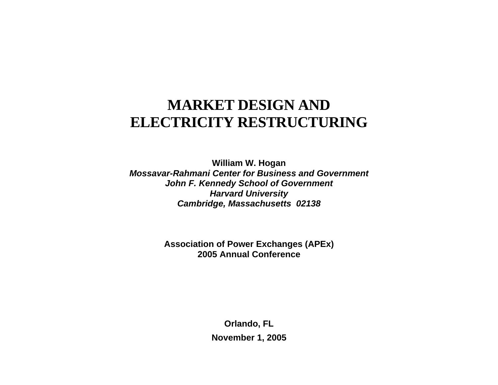# **MARKET DESIGN AND ELECTRICITY RESTRUCTURING**

**William W. Hogan**  *Mossavar-Rahmani Center for Business and Government John F. Kennedy School of Government Harvard University Cambridge, Massachusetts 02138*

> **Association of Power Exchanges (APEx) 2005 Annual Conference**

> > **Orlando, FL November 1, 2005**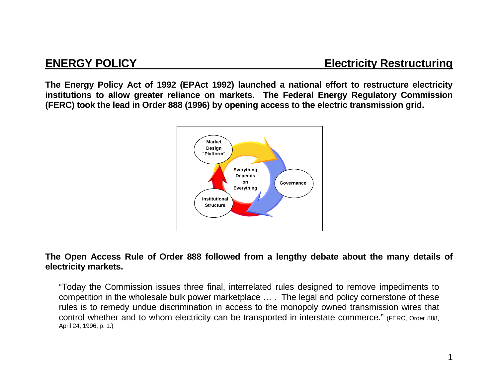**The Energy Policy Act of 1992 (EPAct 1992) launched a national effort to restructure electricity institutions to allow greater reliance on markets. The Federal Energy Regulatory Commission (FERC) took the lead in Order 888 (1996) by opening access to the electric transmission grid.** 



### **The Open Access Rule of Order 888 followed from a lengthy debate about the many details of electricity markets.**

"Today the Commission issues three final, interrelated rules designed to remove impediments to competition in the wholesale bulk power marketplace … . The legal and policy cornerstone of these rules is to remedy undue discrimination in access to the monopoly owned transmission wires that control whether and to whom electricity can be transported in interstate commerce." (FERC, Order 888, April 24, 1996, p. 1.)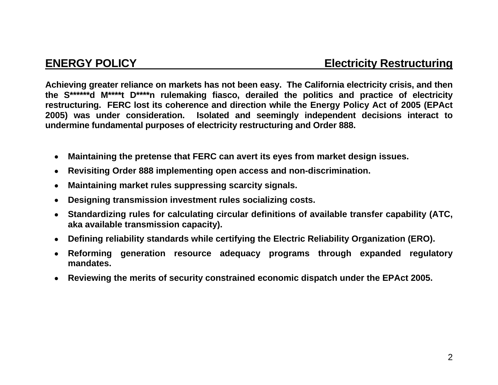**Achieving greater reliance on markets has not been easy. The California electricity crisis, and then the S\*\*\*\*\*\*d M\*\*\*\*t D\*\*\*\*n rulemaking fiasco, derailed the politics and practice of electricity restructuring. FERC lost its coherence and direction while the Energy Policy Act of 2005 (EPAct 2005) was under consideration. Isolated and seemingly independent decisions interact to undermine fundamental purposes of electricity restructuring and Order 888.** 

- • **Maintaining the pretense that FERC can avert its eyes from market design issues.**
- • **Revisiting Order 888 implementing open access and non-discrimination.**
- • **Maintaining market rules suppressing scarcity signals.**
- • **Designing transmission investment rules socializing costs.**
- • **Standardizing rules for calculating circular definitions of available transfer capability (ATC, aka available transmission capacity).**
- • **Defining reliability standards while certifying the Electric Reliability Organization (ERO).**
- • **Reforming generation resource adequacy programs through expanded regulatory mandates.**
- • **Reviewing the merits of security constrained economic dispatch under the EPAct 2005.**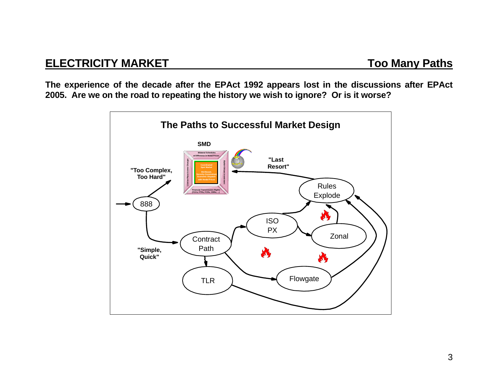**The experience of the decade after the EPAct 1992 appears lost in the discussions after EPAct 2005. Are we on the road to repeating the history we wish to ignore? Or is it worse?** 

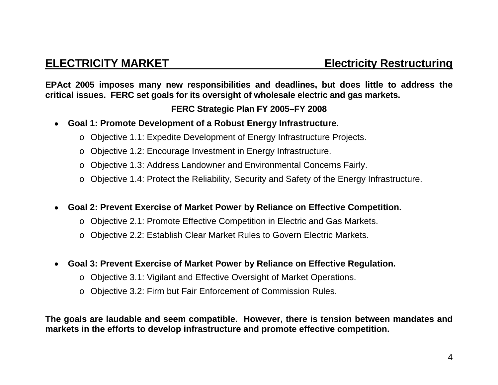**EPAct 2005 imposes many new responsibilities and deadlines, but does little to address the critical issues. FERC set goals for its oversight of wholesale electric and gas markets.** 

## **FERC Strategic Plan FY 2005–FY 2008**

- • **Goal 1: Promote Development of a Robust Energy Infrastructure.** 
	- <sup>o</sup> Objective 1.1: Expedite Development of Energy Infrastructure Projects.
	- <sup>o</sup> Objective 1.2: Encourage Investment in Energy Infrastructure.
	- <sup>o</sup> Objective 1.3: Address Landowner and Environmental Concerns Fairly.
	- <sup>o</sup> Objective 1.4: Protect the Reliability, Security and Safety of the Energy Infrastructure.
- • **Goal 2: Prevent Exercise of Market Power by Reliance on Effective Competition.** 
	- <sup>o</sup> Objective 2.1: Promote Effective Competition in Electric and Gas Markets.
	- <sup>o</sup> Objective 2.2: Establish Clear Market Rules to Govern Electric Markets.
- • **Goal 3: Prevent Exercise of Market Power by Reliance on Effective Regulation.** 
	- <sup>o</sup> Objective 3.1: Vigilant and Effective Oversight of Market Operations.
	- <sup>o</sup> Objective 3.2: Firm but Fair Enforcement of Commission Rules.

**The goals are laudable and seem compatible. However, there is tension between mandates and markets in the efforts to develop infrastructure and promote effective competition.**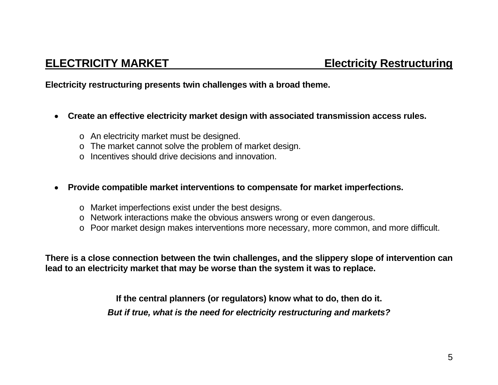**Electricity restructuring presents twin challenges with a broad theme.** 

- • **Create an effective electricity market design with associated transmission access rules.** 
	- <sup>o</sup> An electricity market must be designed.
	- <sup>o</sup> The market cannot solve the problem of market design.
	- o Incentives should drive decisions and innovation.

### • **Provide compatible market interventions to compensate for market imperfections.**

- <sup>o</sup> Market imperfections exist under the best designs.
- <sup>o</sup> Network interactions make the obvious answers wrong or even dangerous.
- <sup>o</sup> Poor market design makes interventions more necessary, more common, and more difficult.

**There is a close connection between the twin challenges, and the slippery slope of intervention can lead to an electricity market that may be worse than the system it was to replace.** 

> **If the central planners (or regulators) know what to do, then do it.**  *But if true, what is the need for electricity restructuring and markets?*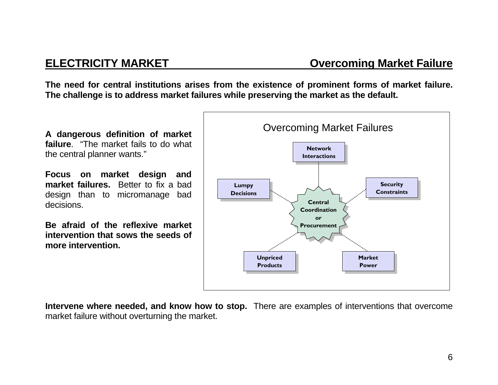**The need for central institutions arises from the existence of prominent forms of market failure. The challenge is to address market failures while preserving the market as the default.** 

**A dangerous definition of market failure**. "The market fails to do what the central planner wants."

**Focus on market design and market failures.** Better to fix a bad design than to micromanage bad decisions.

**Be afraid of the reflexive market intervention that sows the seeds of more intervention.**



**Intervene where needed, and know how to stop.** There are examples of interventions that overcome market failure without overturning the market.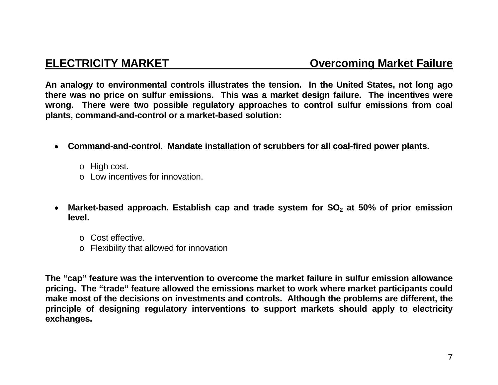**An analogy to environmental controls illustrates the tension. In the United States, not long ago there was no price on sulfur emissions. This was a market design failure. The incentives were wrong. There were two possible regulatory approaches to control sulfur emissions from coal plants, command-and-control or a market-based solution:** 

- • **Command-and-control. Mandate installation of scrubbers for all coal-fired power plants.** 
	- <sup>o</sup> High cost.
	- o Low incentives for innovation.
- Market-based approach. Establish cap and trade system for SO<sub>2</sub> at 50% of prior emission **level.** 
	- o Cost effective.
	- <sup>o</sup> Flexibility that allowed for innovation

**The "cap" feature was the intervention to overcome the market failure in sulfur emission allowance pricing. The "trade" feature allowed the emissions market to work where market participants could make most of the decisions on investments and controls. Although the problems are different, the principle of designing regulatory interventions to support markets should apply to electricity exchanges.**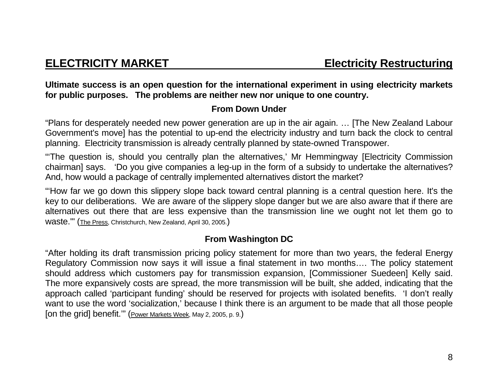**Ultimate success is an open question for the international experiment in using electricity markets for public purposes. The problems are neither new nor unique to one country.** 

## **From Down Under**

"Plans for desperately needed new power generation are up in the air again. … [The New Zealand Labour Government's move] has the potential to up-end the electricity industry and turn back the clock to central planning. Electricity transmission is already centrally planned by state-owned Transpower.

"'The question is, should you centrally plan the alternatives,' Mr Hemmingway [Electricity Commission chairman] says. 'Do you give companies a leg-up in the form of a subsidy to undertake the alternatives? And, how would a package of centrally implemented alternatives distort the market?

"'How far we go down this slippery slope back toward central planning is a central question here. It's the key to our deliberations. We are aware of the slippery slope danger but we are also aware that if there are alternatives out there that are less expensive than the transmission line we ought not let them go to waste.'" (The Press, Christchurch, New Zealand, April 30, 2005.)

## **From Washington DC**

"After holding its draft transmission pricing policy statement for more than two years, the federal Energy Regulatory Commission now says it will issue a final statement in two months…. The policy statement should address which customers pay for transmission expansion, [Commissioner Suedeen] Kelly said. The more expansively costs are spread, the more transmission will be built, she added, indicating that the approach called 'participant funding' should be reserved for projects with isolated benefits. 'I don't really want to use the word 'socialization,' because I think there is an argument to be made that all those people [on the grid] benefit.'" (Power Markets Week, May 2, 2005, p. 9.)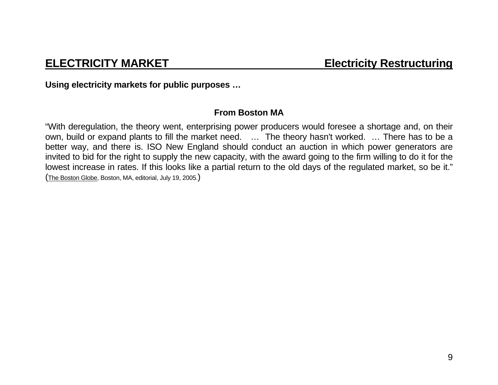**Using electricity markets for public purposes …** 

## **From Boston MA**

"With deregulation, the theory went, enterprising power producers would foresee a shortage and, on their own, build or expand plants to fill the market need. … The theory hasn't worked. … There has to be a better way, and there is. ISO New England should conduct an auction in which power generators are invited to bid for the right to supply the new capacity, with the award going to the firm willing to do it for the lowest increase in rates. If this looks like a partial return to the old days of the regulated market, so be it." (The Boston Globe, Boston, MA, editorial, July 19, 2005.)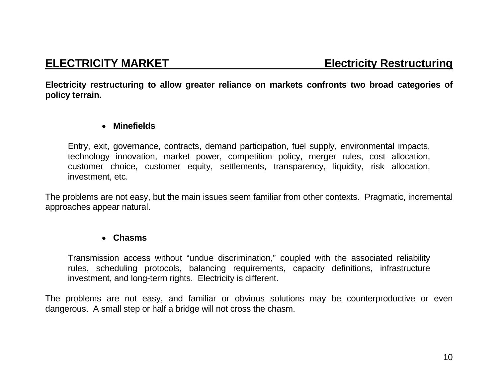**Electricity restructuring to allow greater reliance on markets confronts two broad categories of policy terrain.** 

### • **Minefields**

Entry, exit, governance, contracts, demand participation, fuel supply, environmental impacts, technology innovation, market power, competition policy, merger rules, cost allocation, customer choice, customer equity, settlements, transparency, liquidity, risk allocation, investment, etc.

The problems are not easy, but the main issues seem familiar from other contexts. Pragmatic, incremental approaches appear natural.

### • **Chasms**

Transmission access without "undue discrimination," coupled with the associated reliability rules, scheduling protocols, balancing requirements, capacity definitions, infrastructure investment, and long-term rights. Electricity is different.

The problems are not easy, and familiar or obvious solutions may be counterproductive or even dangerous. A small step or half a bridge will not cross the chasm.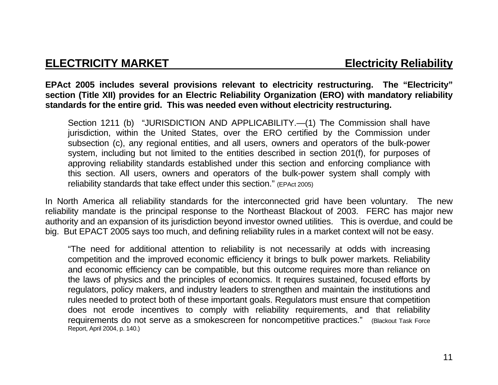## **ELECTRICITY MARKET ELECTRICITY MARKET**

**EPAct 2005 includes several provisions relevant to electricity restructuring. The "Electricity" section (Title XII) provides for an Electric Reliability Organization (ERO) with mandatory reliability standards for the entire grid. This was needed even without electricity restructuring.**

Section 1211 (b) "JURISDICTION AND APPLICABILITY.—(1) The Commission shall have jurisdiction, within the United States, over the ERO certified by the Commission under subsection (c), any regional entities, and all users, owners and operators of the bulk-power system, including but not limited to the entities described in section 201(f), for purposes of approving reliability standards established under this section and enforcing compliance with this section. All users, owners and operators of the bulk-power system shall comply with reliability standards that take effect under this section." (EPAct 2005)

In North America all reliability standards for the interconnected grid have been voluntary. The new reliability mandate is the principal response to the Northeast Blackout of 2003. FERC has major new authority and an expansion of its jurisdiction beyond investor owned utilities. This is overdue, and could be big. But EPACT 2005 says too much, and defining reliability rules in a market context will not be easy.

"The need for additional attention to reliability is not necessarily at odds with increasing competition and the improved economic efficiency it brings to bulk power markets. Reliability and economic efficiency can be compatible, but this outcome requires more than reliance on the laws of physics and the principles of economics. It requires sustained, focused efforts by regulators, policy makers, and industry leaders to strengthen and maintain the institutions and rules needed to protect both of these important goals. Regulators must ensure that competition does not erode incentives to comply with reliability requirements, and that reliability requirements do not serve as a smokescreen for noncompetitive practices." (Blackout Task Force Report, April 2004, p. 140.)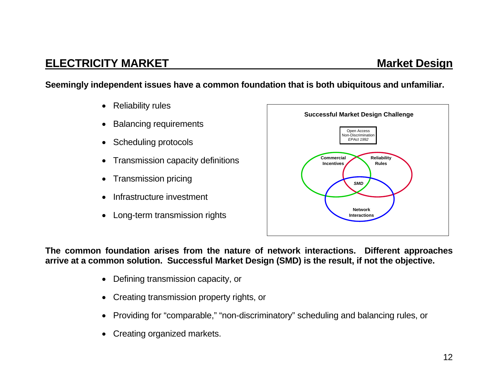## **ELECTRICITY MARKET MARKET Market Design ATTACK AND MARKET**

**Seemingly independent issues have a common foundation that is both ubiquitous and unfamiliar.** 

- Reliability rules
- Balancing requirements
- Scheduling protocols
- Transmission capacity definitions
- Transmission pricing
- Infrastructure investment
- Long-term transmission rights



**The common foundation arises from the nature of network interactions. Different approaches arrive at a common solution. Successful Market Design (SMD) is the result, if not the objective.**

- Defining transmission capacity, or
- Creating transmission property rights, or
- Providing for "comparable," "non-discriminatory" scheduling and balancing rules, or
- Creating organized markets.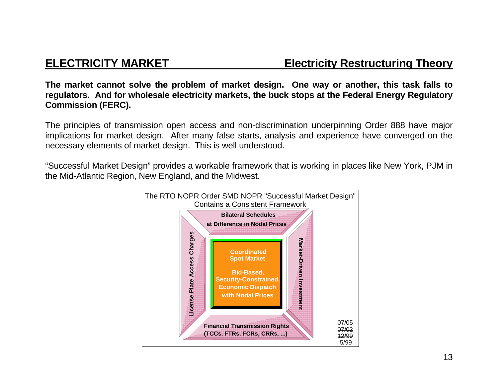**The market cannot solve the problem of market design. One way or another, this task falls to regulators. And for wholesale electricity markets, the buck stops at the Federal Energy Regulatory Commission (FERC).** 

The principles of transmission open access and non-discrimination underpinning Order 888 have major implications for market design. After many false starts, analysis and experience have converged on the necessary elements of market design. This is well understood.

"Successful Market Design" provides a workable framework that is working in places like New York, PJM in the Mid-Atlantic Region, New England, and the Midwest.

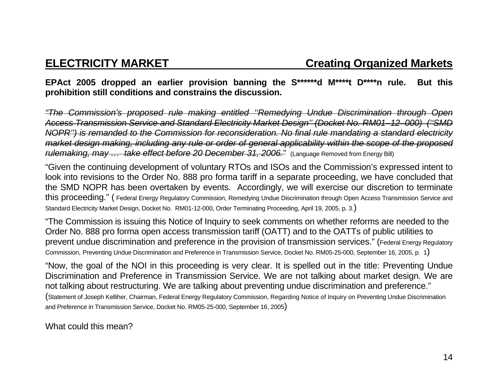## **EPAct 2005 dropped an earlier provision banning the S\*\*\*\*\*\*d M\*\*\*\*t D\*\*\*\*n rule. But this prohibition still conditions and constrains the discussion.**

*"The Commission's proposed rule making entitled ''Remedying Undue Discrimination through Open Access Transmission Service and Standard Electricity Market Design'' (Docket No. RM01 –12 –000) (''SMD NOPR'') is remanded to the Commission for reconsideration. No final rule mandating a standard electricity market design making, including any rule or order of general applicability within the scope of the proposed rulemaking, may ... take effect before 20 December 31, 2006.*" (Language Removed from Energy Bill)

"Given the continuing development of voluntary RTOs and ISOs and the Commission's expressed intent to look into revisions to the Order No. 888 pro forma tariff in a separate proceeding, we have concluded that the SMD NOPR has been overtaken by events. Accordingly, we will exercise our discretion to terminate this proceeding." ( Federal Energy Regulatory Commission, Remedying Undue Discrimination through Open Access Transmission Service and Standard Electricity Market Design, Docket No. RM01-12-000, Order Terminating Proceeding, April 19, 2005, p. 3.)

"The Commission is issuing this Notice of Inquiry to seek comments on whether reforms are needed to the Order No. 888 pro forma open access transmission tariff (OATT) and to the OATTs of public utilities to prevent undue discrimination and preference in the provision of transmission services." (Federal Energy Regulatory Commission, Preventing Undue Discrimination and Preference in Transmission Service, Docket No. RM05-25-000, September 16, 2005, p. 1)

"Now, the goal of the NOI in this proceeding is very clear. It is spelled out in the title: Preventing Undue Discrimination and Preference in Transmission Service. We are not talking about market design. We are not talking about restructuring. We are talking about preventing undue discrimination and preference." (Statement of Joseph Kelliher, Chairman, Federal Energy Regulatory Commission, Regarding Notice of Inquiry on Preventing Undue Discrimination and Preference in Transmission Service, Docket No. RM05-25-000, September 16, 2005)

What could this mean?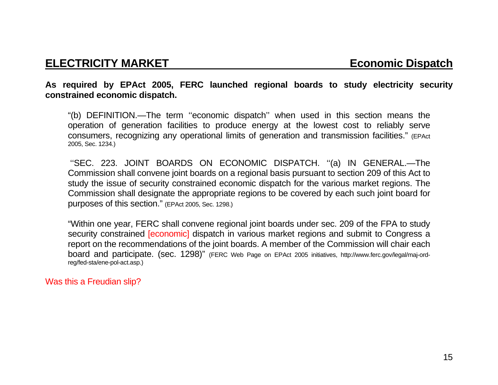## **ELECTRICITY MARKET** ELECTRICITY MARKET

### **As required by EPAct 2005, FERC launched regional boards to study electricity security constrained economic dispatch.**

"(b) DEFINITION.—The term ''economic dispatch'' when used in this section means the operation of generation facilities to produce energy at the lowest cost to reliably serve consumers, recognizing any operational limits of generation and transmission facilities." (EPAct 2005, Sec. 1234.)

 ''SEC. 223. JOINT BOARDS ON ECONOMIC DISPATCH. ''(a) IN GENERAL.—The Commission shall convene joint boards on a regional basis pursuant to section 209 of this Act to study the issue of security constrained economic dispatch for the various market regions. The Commission shall designate the appropriate regions to be covered by each such joint board for purposes of this section." (EPAct 2005, Sec. 1298.)

"Within one year, FERC shall convene regional joint boards under sec. 209 of the FPA to study security constrained **[economic]** dispatch in various market regions and submit to Congress a report on the recommendations of the joint boards. A member of the Commission will chair each board and participate. (sec. 1298)" (FERC Web Page on EPAct 2005 initiatives, http://www.ferc.gov/legal/maj-ordreg/fed-sta/ene-pol-act.asp.)

### Was this a Freudian slip?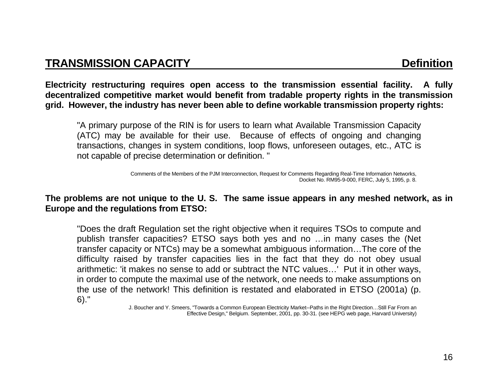**Electricity restructuring requires open access to the transmission essential facility. A fully decentralized competitive market would benefit from tradable property rights in the transmission grid. However, the industry has never been able to define workable transmission property rights:** 

 "A primary purpose of the RIN is for users to learn what Available Transmission Capacity (ATC) may be available for their use. Because of effects of ongoing and changing transactions, changes in system conditions, loop flows, unforeseen outages, etc., ATC is not capable of precise determination or definition. "

**The problems are not unique to the U. S. The same issue appears in any meshed network, as in Europe and the regulations from ETSO:** 

"Does the draft Regulation set the right objective when it requires TSOs to compute and publish transfer capacities? ETSO says both yes and no …in many cases the (Net transfer capacity or NTCs) may be a somewhat ambiguous information…The core of the difficulty raised by transfer capacities lies in the fact that they do not obey usual arithmetic: 'it makes no sense to add or subtract the NTC values…' Put it in other ways, in order to compute the maximal use of the network, one needs to make assumptions on the use of the network! This definition is restated and elaborated in ETSO (2001a) (p. 6)."

 J. Boucher and Y. Smeers, "Towards a Common European Electricity Market--Paths in the Right Direction…Still Far From an Effective Design," Belgium. September, 2001, pp. 30-31. (see HEPG web page, Harvard University)

Comments of the Members of the PJM Interconnection, Request for Comments Regarding Real-Time Information Networks, Docket No. RM95-9-000, FERC, July 5, 1995, p. 8.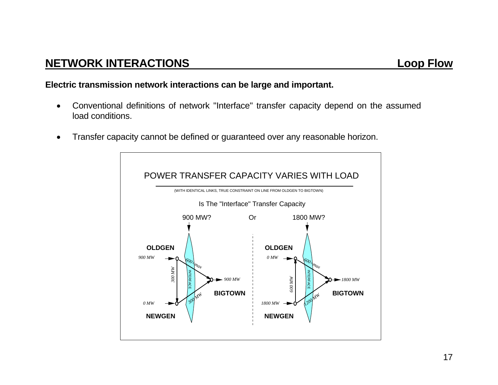## **Electric transmission network interactions can be large and important.**

- Conventional definitions of network "Interface" transfer capacity depend on the assumed load conditions.
- Transfer capacity cannot be defined or guaranteed over any reasonable horizon.

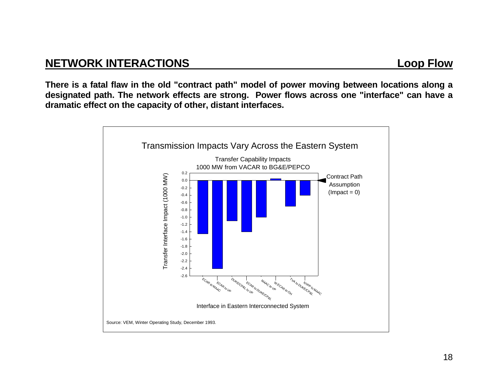## **NETWORK INTERACTIONS Loop Flow**

**There is a fatal flaw in the old "contract path" model of power moving between locations along a designated path. The network effects are strong. Power flows across one "interface" can have a dramatic effect on the capacity of other, distant interfaces.**

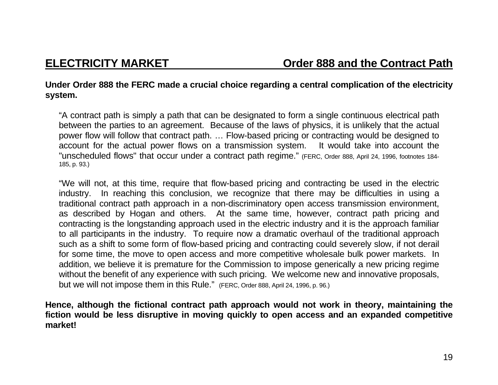## **Under Order 888 the FERC made a crucial choice regarding a central complication of the electricity system.**

"A contract path is simply a path that can be designated to form a single continuous electrical path between the parties to an agreement. Because of the laws of physics, it is unlikely that the actual power flow will follow that contract path. … Flow-based pricing or contracting would be designed to account for the actual power flows on a transmission system. It would take into account the "unscheduled flows" that occur under a contract path regime." (FERC, Order 888, April 24, 1996, footnotes 184- 185, p. 93.)

"We will not, at this time, require that flow-based pricing and contracting be used in the electric industry. In reaching this conclusion, we recognize that there may be difficulties in using a traditional contract path approach in a non-discriminatory open access transmission environment, as described by Hogan and others. At the same time, however, contract path pricing and contracting is the longstanding approach used in the electric industry and it is the approach familiar to all participants in the industry. To require now a dramatic overhaul of the traditional approach such as a shift to some form of flow-based pricing and contracting could severely slow, if not derail for some time, the move to open access and more competitive wholesale bulk power markets. In addition, we believe it is premature for the Commission to impose generically a new pricing regime without the benefit of any experience with such pricing. We welcome new and innovative proposals, but we will not impose them in this Rule." (FERC, Order 888, April 24, 1996, p. 96.)

**Hence, although the fictional contract path approach would not work in theory, maintaining the fiction would be less disruptive in moving quickly to open access and an expanded competitive market!**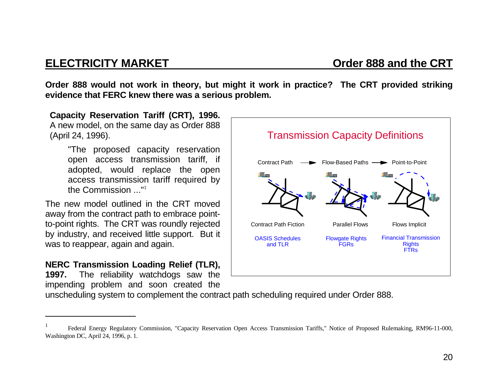## **ELECTRICITY MARKET CONSUMING A CONSUMING CONSUMING A CONSUMING A CRT**

**Order 888 would not work in theory, but might it work in practice? The CRT provided striking evidence that FERC knew there was a serious problem.** 

**Capacity Reservation Tariff (CRT), 1996.** A new model, on the same day as Order 888 (April 24, 1996).

> "The proposed capacity reservation open access transmission tariff, if adopted, would replace the open access transmission tariff required by the Commission ..."<sup>1</sup>

The new model outlined in the CRT moved away from the contract path to embrace pointto-point rights. The CRT was roundly rejected by industry, and received little support. But it was to reappear, again and again.

## **NERC Transmission Loading Relief (TLR),**

**1997.** The reliability watchdogs saw the impending problem and soon created the



unscheduling system to complement the contract path scheduling required under Order 888.

<sup>1</sup> Federal Energy Regulatory Commission, "Capacity Reservation Open Access Transmission Tariffs," Notice of Proposed Rulemaking, RM96-11-000, Washington DC, April 24, 1996, p. 1.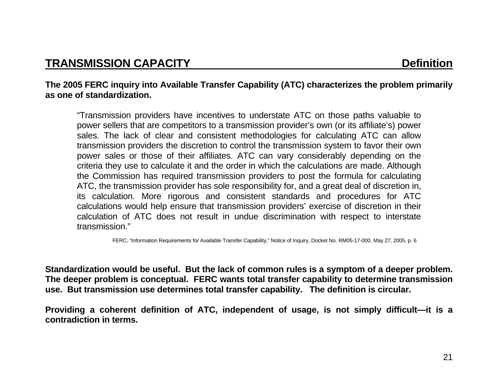### **The 2005 FERC inquiry into Available Transfer Capability (ATC) characterizes the problem primarily as one of standardization.**

"Transmission providers have incentives to understate ATC on those paths valuable to power sellers that are competitors to a transmission provider's own (or its affiliate's) power sales. The lack of clear and consistent methodologies for calculating ATC can allow transmission providers the discretion to control the transmission system to favor their own power sales or those of their affiliates. ATC can vary considerably depending on the criteria they use to calculate it and the order in which the calculations are made. Although the Commission has required transmission providers to post the formula for calculating ATC, the transmission provider has sole responsibility for, and a great deal of discretion in, its calculation. More rigorous and consistent standards and procedures for ATC calculations would help ensure that transmission providers' exercise of discretion in their calculation of ATC does not result in undue discrimination with respect to interstate transmission."

FERC, "Information Requirements for Available Transfer Capability," Notice of Inquiry, Docket No. RM05-17-000, May 27, 2005, p. 6

**Standardization would be useful. But the lack of common rules is a symptom of a deeper problem. The deeper problem is conceptual. FERC wants total transfer capability to determine transmission use. But transmission use determines total transfer capability. The definition is circular.** 

**Providing a coherent definition of ATC, independent of usage, is not simply difficult—it is a contradiction in terms.**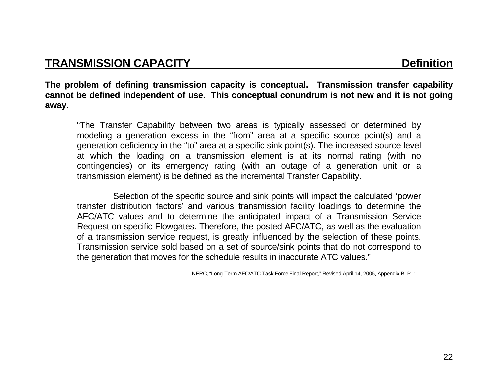**The problem of defining transmission capacity is conceptual. Transmission transfer capability cannot be defined independent of use. This conceptual conundrum is not new and it is not going away.**

"The Transfer Capability between two areas is typically assessed or determined by modeling a generation excess in the "from" area at a specific source point(s) and a generation deficiency in the "to" area at a specific sink point(s). The increased source level at which the loading on a transmission element is at its normal rating (with no contingencies) or its emergency rating (with an outage of a generation unit or a transmission element) is be defined as the incremental Transfer Capability.

 Selection of the specific source and sink points will impact the calculated 'power transfer distribution factors' and various transmission facility loadings to determine the AFC/ATC values and to determine the anticipated impact of a Transmission Service Request on specific Flowgates. Therefore, the posted AFC/ATC, as well as the evaluation of a transmission service request, is greatly influenced by the selection of these points. Transmission service sold based on a set of source/sink points that do not correspond to the generation that moves for the schedule results in inaccurate ATC values."

NERC, "Long-Term AFC/ATC Task Force Final Report," Revised April 14, 2005, Appendix B, P. 1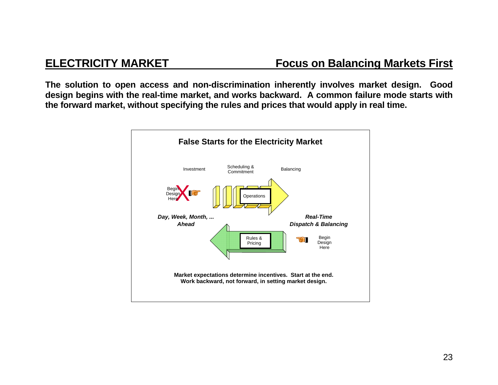## **ELECTRICITY MARKET Focus on Balancing Markets First**

**The solution to open access and non-discrimination inherently involves market design. Good design begins with the real-time market, and works backward. A common failure mode starts with the forward market, without specifying the rules and prices that would apply in real time.** 

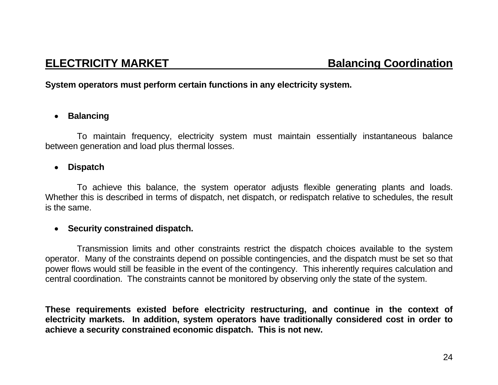**System operators must perform certain functions in any electricity system.**

### • **Balancing**

 To maintain frequency, electricity system must maintain essentially instantaneous balance between generation and load plus thermal losses.

### • **Dispatch**

 To achieve this balance, the system operator adjusts flexible generating plants and loads. Whether this is described in terms of dispatch, net dispatch, or redispatch relative to schedules, the result is the same.

### • **Security constrained dispatch.**

 Transmission limits and other constraints restrict the dispatch choices available to the system operator. Many of the constraints depend on possible contingencies, and the dispatch must be set so that power flows would still be feasible in the event of the contingency. This inherently requires calculation and central coordination. The constraints cannot be monitored by observing only the state of the system.

**These requirements existed before electricity restructuring, and continue in the context of electricity markets. In addition, system operators have traditionally considered cost in order to achieve a security constrained economic dispatch. This is not new.**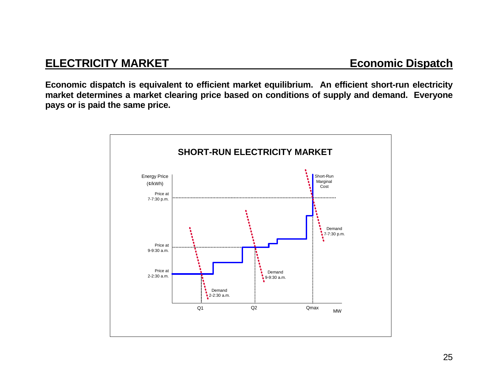**Economic dispatch is equivalent to efficient market equilibrium. An efficient short-run electricity market determines a market clearing price based on conditions of supply and demand. Everyone pays or is paid the same price.**

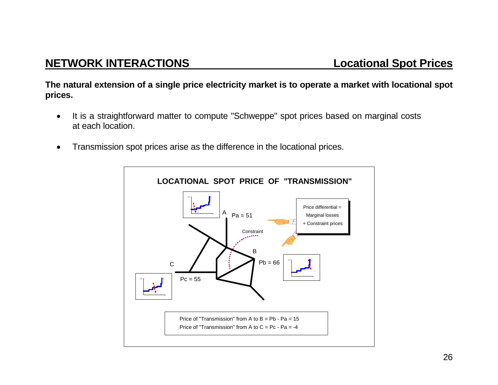**The natural extension of a single price electricity market is to operate a market with locational spot prices.** 

- It is a straightforward matter to compute "Schweppe" spot prices based on marginal costs at each location.
- Transmission spot prices arise as the difference in the locational prices.

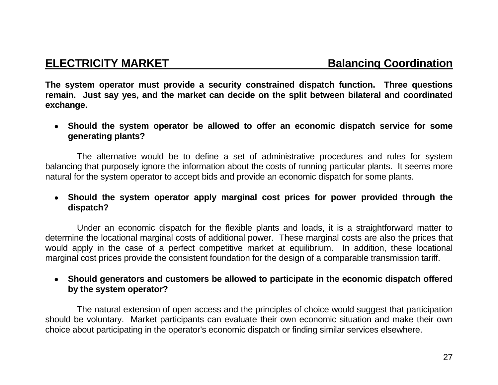**The system operator must provide a security constrained dispatch function. Three questions remain. Just say yes, and the market can decide on the split between bilateral and coordinated exchange.**

• **Should the system operator be allowed to offer an economic dispatch service for some generating plants?**

 The alternative would be to define a set of administrative procedures and rules for system balancing that purposely ignore the information about the costs of running particular plants. It seems more natural for the system operator to accept bids and provide an economic dispatch for some plants.

## • **Should the system operator apply marginal cost prices for power provided through the dispatch?**

 Under an economic dispatch for the flexible plants and loads, it is a straightforward matter to determine the locational marginal costs of additional power. These marginal costs are also the prices that would apply in the case of a perfect competitive market at equilibrium. In addition, these locational marginal cost prices provide the consistent foundation for the design of a comparable transmission tariff.

## • **Should generators and customers be allowed to participate in the economic dispatch offered by the system operator?**

 The natural extension of open access and the principles of choice would suggest that participation should be voluntary. Market participants can evaluate their own economic situation and make their own choice about participating in the operator's economic dispatch or finding similar services elsewhere.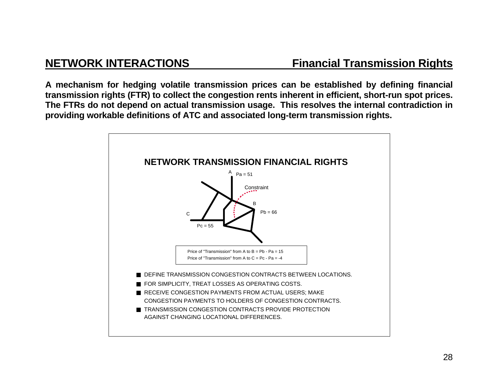**A mechanism for hedging volatile transmission prices can be established by defining financial transmission rights (FTR) to collect the congestion rents inherent in efficient, short-run spot prices. The FTRs do not depend on actual transmission usage. This resolves the internal contradiction in providing workable definitions of ATC and associated long-term transmission rights.** 

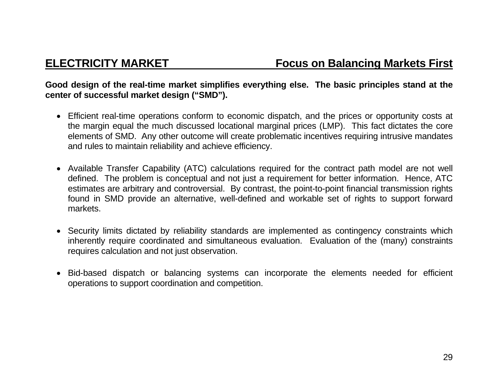## **Good design of the real-time market simplifies everything else. The basic principles stand at the center of successful market design ("SMD").**

- Efficient real-time operations conform to economic dispatch, and the prices or opportunity costs at the margin equal the much discussed locational marginal prices (LMP). This fact dictates the core elements of SMD. Any other outcome will create problematic incentives requiring intrusive mandates and rules to maintain reliability and achieve efficiency.
- Available Transfer Capability (ATC) calculations required for the contract path model are not well defined. The problem is conceptual and not just a requirement for better information. Hence, ATC estimates are arbitrary and controversial. By contrast, the point-to-point financial transmission rights found in SMD provide an alternative, well-defined and workable set of rights to support forward markets.
- Security limits dictated by reliability standards are implemented as contingency constraints which inherently require coordinated and simultaneous evaluation. Evaluation of the (many) constraints requires calculation and not just observation.
- Bid-based dispatch or balancing systems can incorporate the elements needed for efficient operations to support coordination and competition.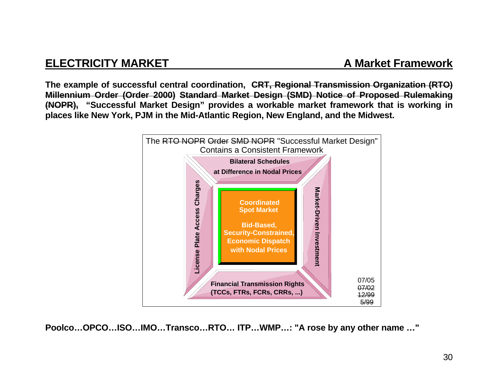## **ELECTRICITY MARKET A Market Framework**

**The example of successful central coordination, CRT, Regional Transmission Organization (RTO) Millennium Order (Order 2000) Standard Market Design (SMD) Notice of Proposed Rulemaking (NOPR), "Successful Market Design" provides a workable market framework that is working in places like New York, PJM in the Mid-Atlantic Region, New England, and the Midwest.** 



**Poolco…OPCO…ISO…IMO…Transco…RTO… ITP…WMP…: "A rose by any other name …"**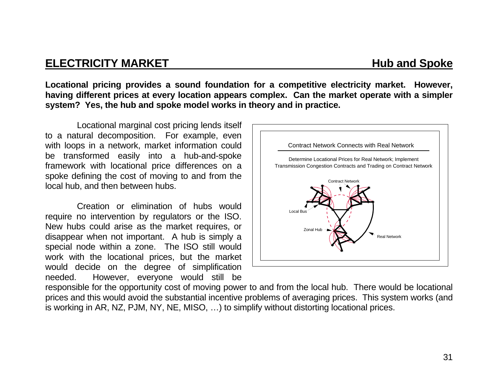## **ELECTRICITY MARKET Hub and Spoke**

**Locational pricing provides a sound foundation for a competitive electricity market. However, having different prices at every location appears complex. Can the market operate with a simpler system? Yes, the hub and spoke model works in theory and in practice.**

 Locational marginal cost pricing lends itself to a natural decomposition. For example, even with loops in a network, market information could be transformed easily into a hub-and-spoke framework with locational price differences on a spoke defining the cost of moving to and from the local hub, and then between hubs.

 Creation or elimination of hubs would require no intervention by regulators or the ISO. New hubs could arise as the market requires, or disappear when not important. A hub is simply a special node within a zone. The ISO still would work with the locational prices, but the market would decide on the degree of simplification needed. However, everyone would still be



responsible for the opportunity cost of moving power to and from the local hub. There would be locational prices and this would avoid the substantial incentive problems of averaging prices. This system works (and is working in AR, NZ, PJM, NY, NE, MISO, …) to simplify without distorting locational prices.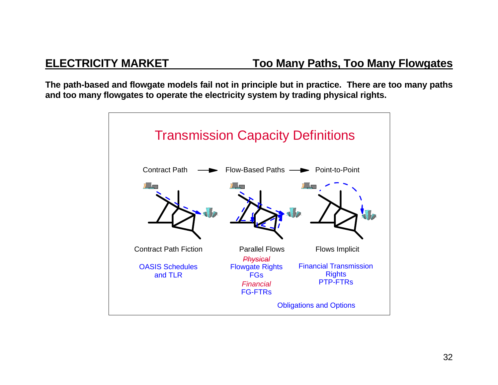**The path-based and flowgate models fail not in principle but in practice. There are too many paths and too many flowgates to operate the electricity system by trading physical rights.** 

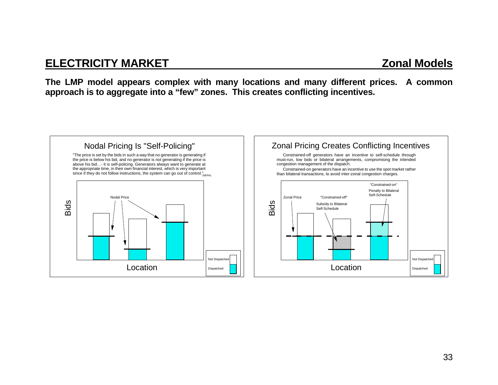## **ELECTRICITY MARKET**

**The LMP model appears complex with many locations and many different prices. A common approach is to aggregate into a "few" zones. This creates conflicting incentives.** 

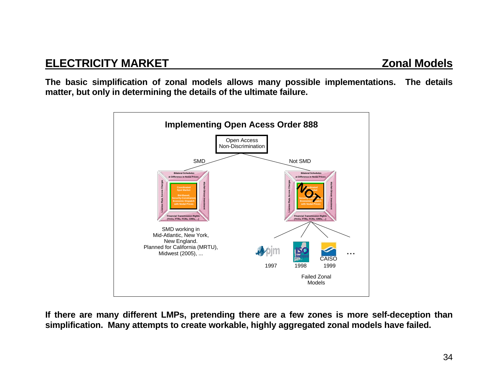**The basic simplification of zonal models allows many possible implementations. The details matter, but only in determining the details of the ultimate failure.** 



**If there are many different LMPs, pretending there are a few zones is more self-deception than simplification. Many attempts to create workable, highly aggregated zonal models have failed.**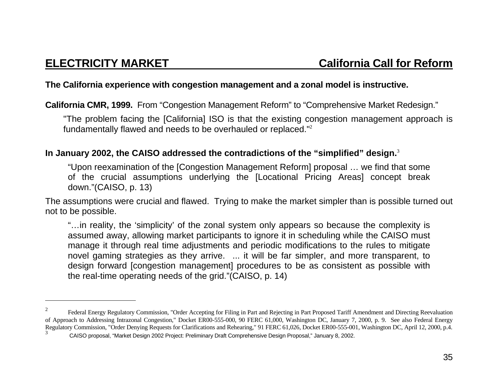## **The California experience with congestion management and a zonal model is instructive.**

**California CMR, 1999.** From "Congestion Management Reform" to "Comprehensive Market Redesign."

"The problem facing the [California] ISO is that the existing congestion management approach is fundamentally flawed and needs to be overhauled or replaced."<sup>2</sup>

## **In January 2002, the CAISO addressed the contradictions of the "simplified" design.**<sup>3</sup>

"Upon reexamination of the [Congestion Management Reform] proposal … we find that some of the crucial assumptions underlying the [Locational Pricing Areas] concept break down."(CAISO, p. 13)

The assumptions were crucial and flawed. Trying to make the market simpler than is possible turned out not to be possible.

"…in reality, the 'simplicity' of the zonal system only appears so because the complexity is assumed away, allowing market participants to ignore it in scheduling while the CAISO must manage it through real time adjustments and periodic modifications to the rules to mitigate novel gaming strategies as they arrive. ... it will be far simpler, and more transparent, to design forward [congestion management] procedures to be as consistent as possible with the real-time operating needs of the grid."(CAISO, p. 14)

<sup>2</sup> Federal Energy Regulatory Commission, "Order Accepting for Filing in Part and Rejecting in Part Proposed Tariff Amendment and Directing Reevaluation of Approach to Addressing Intrazonal Congestion," Docket ER00-555-000, 90 FERC 61,000, Washington DC, January 7, 2000, p. 9. See also Federal Energy Regulatory Commission, "Order Denying Requests for Clarifications and Rehearing," 91 FERC 61,026, Docket ER00-555-001, Washington DC, April 12, 2000, p.4.

<sup>3</sup> CAISO proposal, "Market Design 2002 Project: Preliminary Draft Comprehensive Design Proposal," January 8, 2002.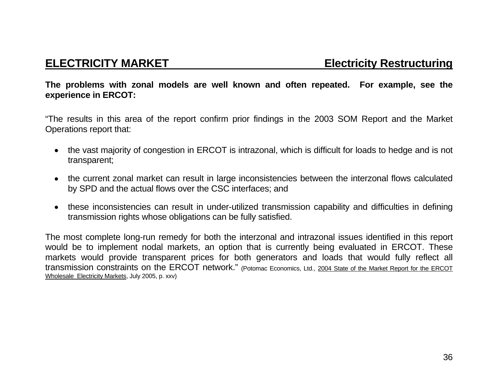**The problems with zonal models are well known and often repeated. For example, see the experience in ERCOT:** 

"The results in this area of the report confirm prior findings in the 2003 SOM Report and the Market Operations report that:

- the vast majority of congestion in ERCOT is intrazonal, which is difficult for loads to hedge and is not transparent;
- the current zonal market can result in large inconsistencies between the interzonal flows calculated by SPD and the actual flows over the CSC interfaces; and
- these inconsistencies can result in under-utilized transmission capability and difficulties in defining transmission rights whose obligations can be fully satisfied.

The most complete long-run remedy for both the interzonal and intrazonal issues identified in this report would be to implement nodal markets, an option that is currently being evaluated in ERCOT. These markets would provide transparent prices for both generators and loads that would fully reflect all transmission constraints on the ERCOT network." (Potomac Economics, Ltd., 2004 State of the Market Report for the ERCOT Wholesale Electricity Markets, July 2005, p. xxv)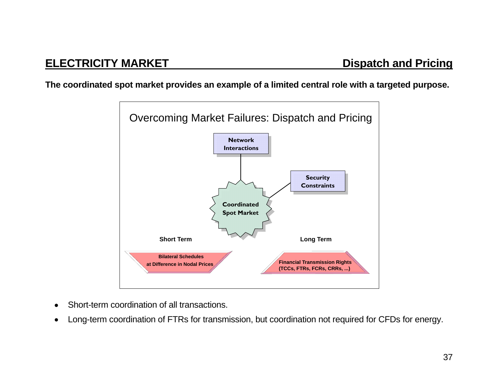**The coordinated spot market provides an example of a limited central role with a targeted purpose.** 



- •Short-term coordination of all transactions.
- •Long-term coordination of FTRs for transmission, but coordination not required for CFDs for energy.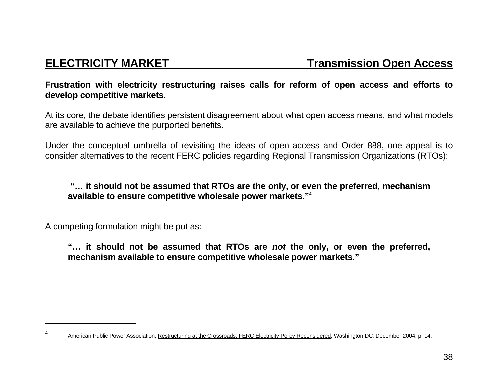## **Frustration with electricity restructuring raises calls for reform of open access and efforts to develop competitive markets.**

At its core, the debate identifies persistent disagreement about what open access means, and what models are available to achieve the purported benefits.

Under the conceptual umbrella of revisiting the ideas of open access and Order 888, one appeal is to consider alternatives to the recent FERC policies regarding Regional Transmission Organizations (RTOs):

**"… it should not be assumed that RTOs are the only, or even the preferred, mechanism available to ensure competitive wholesale power markets."**<sup>4</sup>

A competing formulation might be put as:

**"… it should not be assumed that RTOs are** *not* **the only, or even the preferred, mechanism available to ensure competitive wholesale power markets."** 

<sup>4</sup> American Public Power Association, Restructuring at the Crossroads: FERC Electricity Policy Reconsidered, Washington DC, December 2004, p. 14.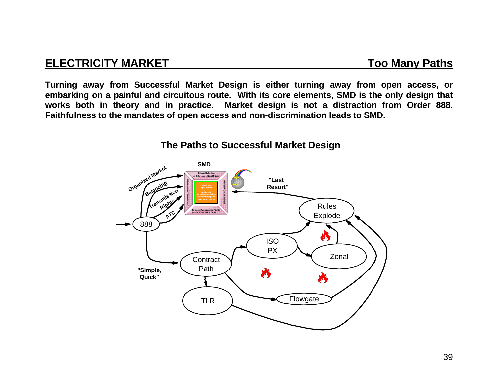## **ELECTRICITY MARKET TOO Many Paths**

**Turning away from Successful Market Design is either turning away from open access, or embarking on a painful and circuitous route. With its core elements, SMD is the only design that works both in theory and in practice. Market design is not a distraction from Order 888. Faithfulness to the mandates of open access and non-discrimination leads to SMD.**